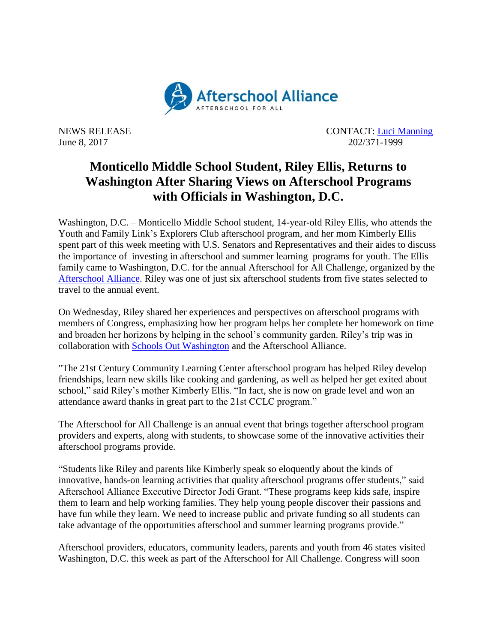

NEWS RELEASE CONTACT: [Luci Manning](mailto:luci@prsolutionsdc.com) June 8, 2017 202/371-1999

## **Monticello Middle School Student, Riley Ellis, Returns to Washington After Sharing Views on Afterschool Programs with Officials in Washington, D.C.**

Washington, D.C. – Monticello Middle School student, 14-year-old Riley Ellis, who attends the Youth and Family Link's Explorers Club afterschool program, and her mom Kimberly Ellis spent part of this week meeting with U.S. Senators and Representatives and their aides to discuss the importance of investing in afterschool and summer learning programs for youth. The Ellis family came to Washington, D.C. for the annual Afterschool for All Challenge, organized by the [Afterschool Alliance.](http://www.afterschoolalliance.org/) Riley was one of just six afterschool students from five states selected to travel to the annual event.

On Wednesday, Riley shared her experiences and perspectives on afterschool programs with members of Congress, emphasizing how her program helps her complete her homework on time and broaden her horizons by helping in the school's community garden. Riley's trip was in collaboration with [Schools Out Washington](https://www.schoolsoutwashington.org/) and the Afterschool Alliance.

"The 21st Century Community Learning Center afterschool program has helped Riley develop friendships, learn new skills like cooking and gardening, as well as helped her get exited about school," said Riley's mother Kimberly Ellis. "In fact, she is now on grade level and won an attendance award thanks in great part to the 21st CCLC program."

The Afterschool for All Challenge is an annual event that brings together afterschool program providers and experts, along with students, to showcase some of the innovative activities their afterschool programs provide.

"Students like Riley and parents like Kimberly speak so eloquently about the kinds of innovative, hands-on learning activities that quality afterschool programs offer students," said Afterschool Alliance Executive Director Jodi Grant. "These programs keep kids safe, inspire them to learn and help working families. They help young people discover their passions and have fun while they learn. We need to increase public and private funding so all students can take advantage of the opportunities afterschool and summer learning programs provide."

Afterschool providers, educators, community leaders, parents and youth from 46 states visited Washington, D.C. this week as part of the Afterschool for All Challenge. Congress will soon